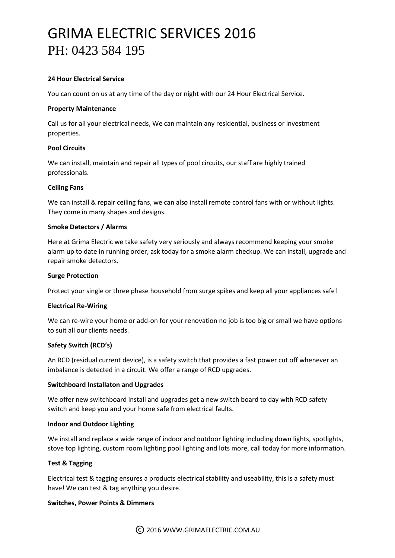# GRIMA ELECTRIC SERVICES 2016 PH: 0423 584 195

# **24 Hour Electrical Service**

You can count on us at any time of the day or night with our 24 Hour Electrical Service.

## **Property Maintenance**

Call us for all your electrical needs, We can maintain any residential, business or investment properties.

# **Pool Circuits**

We can install, maintain and repair all types of pool circuits, our staff are highly trained professionals.

# **Ceiling Fans**

We can install & repair ceiling fans, we can also install remote control fans with or without lights. They come in many shapes and designs.

## **Smoke Detectors / Alarms**

Here at Grima Electric we take safety very seriously and always recommend keeping your smoke alarm up to date in running order, ask today for a smoke alarm checkup. We can install, upgrade and repair smoke detectors.

## **Surge Protection**

Protect your single or three phase household from surge spikes and keep all your appliances safe!

## **Electrical Re-Wiring**

We can re-wire your home or add-on for your renovation no job is too big or small we have options to suit all our clients needs.

## **Safety Switch (RCD's)**

An RCD (residual current device), is a safety switch that provides a fast power cut off whenever an imbalance is detected in a circuit. We offer a range of RCD upgrades.

## **Switchboard Installaton and Upgrades**

We offer new switchboard install and upgrades get a new switch board to day with RCD safety switch and keep you and your home safe from electrical faults.

## **Indoor and Outdoor Lighting**

We install and replace a wide range of indoor and outdoor lighting including down lights, spotlights, stove top lighting, custom room lighting pool lighting and lots more, call today for more information.

# **Test & Tagging**

Electrical test & tagging ensures a products electrical stability and useability, this is a safety must have! We can test & tag anything you desire.

## **Switches, Power Points & Dimmers**

©2016 WWW.GRIMAELECTRIC.COM.AU